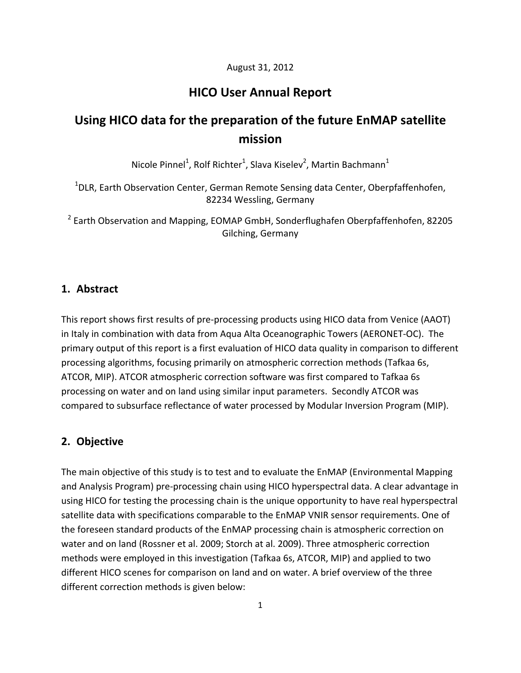#### August 31, 2012

# **HICO User Annual Report**

# **Using HICO data for the preparation of the future EnMAP satellite mission**

Nicole Pinnel<sup>1</sup>, Rolf Richter<sup>1</sup>, Slava Kiselev<sup>2</sup>, Martin Bachmann<sup>1</sup>

<sup>1</sup>DLR, Earth Observation Center, German Remote Sensing data Center, Oberpfaffenhofen, 82234 Wessling, Germany

<sup>2</sup> Earth Observation and Mapping, EOMAP GmbH, Sonderflughafen Oberpfaffenhofen, 82205 Gilching, Germany

#### **1. Abstract**

This report shows first results of pre‐processing products using HICO data from Venice (AAOT) in Italy in combination with data from Aqua Alta Oceanographic Towers (AERONET‐OC). The primary output of this report is a first evaluation of HICO data quality in comparison to different processing algorithms, focusing primarily on atmospheric correction methods (Tafkaa 6s, ATCOR, MIP). ATCOR atmospheric correction software was first compared to Tafkaa 6s processing on water and on land using similar input parameters. Secondly ATCOR was compared to subsurface reflectance of water processed by Modular Inversion Program (MIP).

#### **2. Objective**

The main objective of this study is to test and to evaluate the EnMAP (Environmental Mapping and Analysis Program) pre‐processing chain using HICO hyperspectral data. A clear advantage in using HICO for testing the processing chain is the unique opportunity to have real hyperspectral satellite data with specifications comparable to the EnMAP VNIR sensor requirements. One of the foreseen standard products of the EnMAP processing chain is atmospheric correction on water and on land (Rossner et al. 2009; Storch at al. 2009). Three atmospheric correction methods were employed in this investigation (Tafkaa 6s, ATCOR, MIP) and applied to two different HICO scenes for comparison on land and on water. A brief overview of the three different correction methods is given below: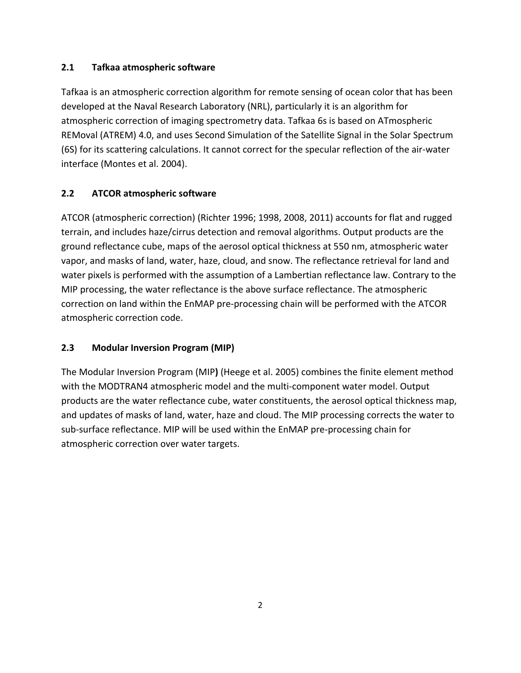# **2.1 Tafkaa atmospheric software**

Tafkaa is an atmospheric correction algorithm for remote sensing of ocean color that has been developed at the Naval Research Laboratory (NRL), particularly it is an algorithm for atmospheric correction of imaging spectrometry data. Tafkaa 6s is based on ATmospheric REMoval (ATREM) 4.0, and uses Second Simulation of the Satellite Signal in the Solar Spectrum (6S) for its scattering calculations. It cannot correct for the specular reflection of the air‐water interface (Montes et al. 2004).

# **2.2 ATCOR atmospheric software**

ATCOR (atmospheric correction) (Richter 1996; 1998, 2008, 2011) accounts for flat and rugged terrain, and includes haze/cirrus detection and removal algorithms. Output products are the ground reflectance cube, maps of the aerosol optical thickness at 550 nm, atmospheric water vapor, and masks of land, water, haze, cloud, and snow. The reflectance retrieval for land and water pixels is performed with the assumption of a Lambertian reflectance law. Contrary to the MIP processing, the water reflectance is the above surface reflectance. The atmospheric correction on land within the EnMAP pre‐processing chain will be performed with the ATCOR atmospheric correction code.

# **2.3 Modular Inversion Program (MIP)**

The Modular Inversion Program (MIP**)** (Heege et al. 2005) combines the finite element method with the MODTRAN4 atmospheric model and the multi-component water model. Output products are the water reflectance cube, water constituents, the aerosol optical thickness map, and updates of masks of land, water, haze and cloud. The MIP processing corrects the water to sub-surface reflectance. MIP will be used within the EnMAP pre-processing chain for atmospheric correction over water targets.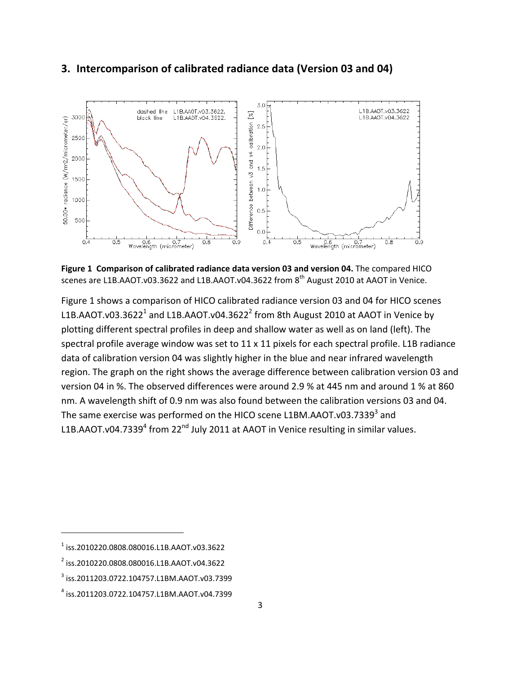# **3. Intercomparison of calibrated radiance data (Version 03 and 04)**



**Figure 1 Comparison of calibrated radiance data version 03 and version 04.** The compared HICO scenes are L1B.AAOT.v03.3622 and L1B.AAOT.v04.3622 from 8<sup>th</sup> August 2010 at AAOT in Venice.

Figure 1 shows a comparison of HICO calibrated radiance version 03 and 04 for HICO scenes L1B.AAOT.v03.3622<sup>1</sup> and L1B.AAOT.v04.3622<sup>2</sup> from 8th August 2010 at AAOT in Venice by plotting different spectral profiles in deep and shallow water as well as on land (left). The spectral profile average window was set to 11 x 11 pixels for each spectral profile. L1B radiance data of calibration version 04 was slightly higher in the blue and near infrared wavelength region. The graph on the right shows the average difference between calibration version 03 and version 04 in %. The observed differences were around 2.9 % at 445 nm and around 1 % at 860 nm. A wavelength shift of 0.9 nm was also found between the calibration versions 03 and 04. The same exercise was performed on the HICO scene L1BM.AAOT.v03.7339<sup>3</sup> and L1B.AAOT.v04.7339 $^4$  from 22<sup>nd</sup> July 2011 at AAOT in Venice resulting in similar values.

<sup>1</sup> iss.2010220.0808.080016.L1B.AAOT.v03.3622

<sup>2</sup> iss.2010220.0808.080016.L1B.AAOT.v04.3622

<sup>3</sup> iss.2011203.0722.104757.L1BM.AAOT.v03.7399

<sup>4</sup> iss.2011203.0722.104757.L1BM.AAOT.v04.7399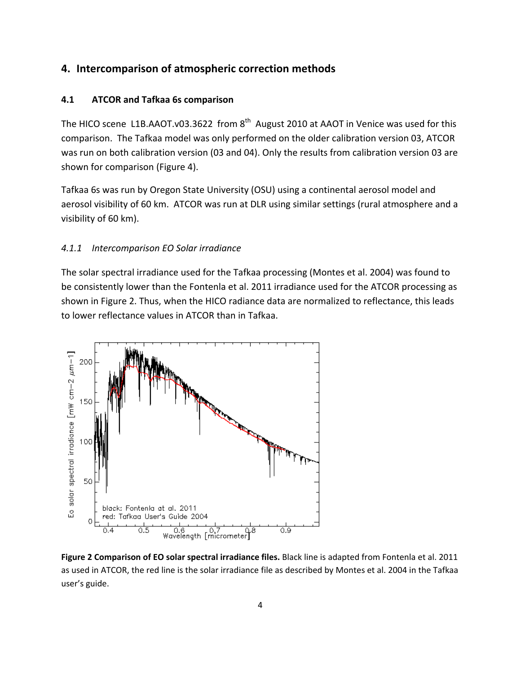#### **4. Intercomparison of atmospheric correction methods**

#### **4.1 ATCOR and Tafkaa 6s comparison**

The HICO scene L1B.AAOT.v03.3622 from  $8<sup>th</sup>$  August 2010 at AAOT in Venice was used for this comparison. The Tafkaa model was only performed on the older calibration version 03, ATCOR was run on both calibration version (03 and 04). Only the results from calibration version 03 are shown for comparison (Figure 4).

Tafkaa 6s was run by Oregon State University (OSU) using a continental aerosol model and aerosol visibility of 60 km. ATCOR was run at DLR using similar settings (rural atmosphere and a visibility of 60 km).

#### *4.1.1 Intercomparison EO Solar irradiance*

The solar spectral irradiance used for the Tafkaa processing (Montes et al. 2004) was found to be consistently lower than the Fontenla et al. 2011 irradiance used for the ATCOR processing as shown in Figure 2. Thus, when the HICO radiance data are normalized to reflectance, this leads to lower reflectance values in ATCOR than in Tafkaa.



**Figure 2 Comparison of EO solar spectral irradiance files.** Black line is adapted from Fontenla et al. 2011 as used in ATCOR, the red line is the solar irradiance file as described by Montes et al. 2004 in the Tafkaa user's guide.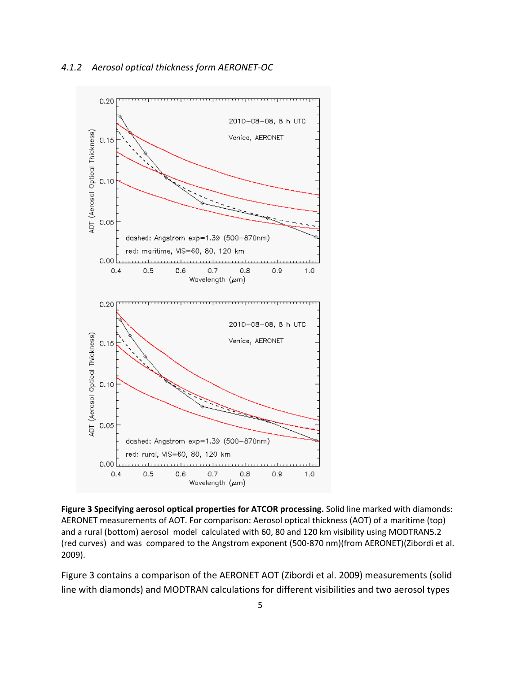

**Figure 3 Specifying aerosol optical properties for ATCOR processing.** Solid line marked with diamonds: AERONET measurements of AOT. For comparison: Aerosol optical thickness (AOT) of a maritime (top) and a rural (bottom) aerosol model calculated with 60, 80 and 120 km visibility using MODTRAN5.2 (red curves) and was compared to the Angstrom exponent (500‐870 nm)(from AERONET)(Zibordi et al. 2009).

Figure 3 contains a comparison of the AERONET AOT (Zibordi et al. 2009) measurements (solid line with diamonds) and MODTRAN calculations for different visibilities and two aerosol types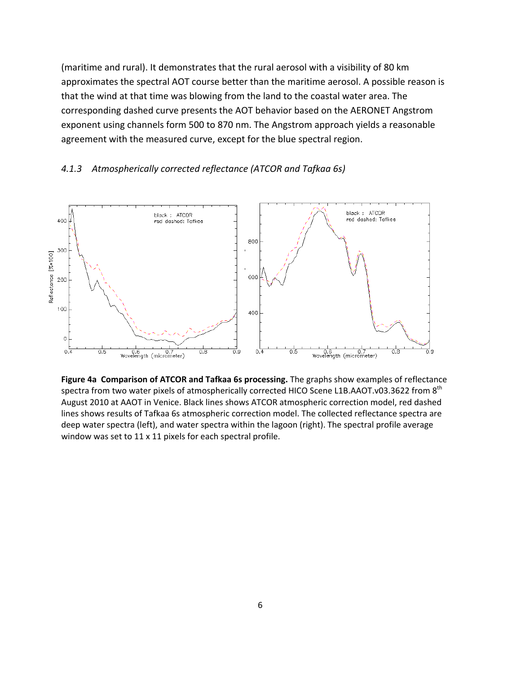(maritime and rural). It demonstrates that the rural aerosol with a visibility of 80 km approximates the spectral AOT course better than the maritime aerosol. A possible reason is that the wind at that time was blowing from the land to the coastal water area. The corresponding dashed curve presents the AOT behavior based on the AERONET Angstrom exponent using channels form 500 to 870 nm. The Angstrom approach yields a reasonable agreement with the measured curve, except for the blue spectral region.



#### *4.1.3 Atmospherically corrected reflectance (ATCOR and Tafkaa 6s)*

**Figure 4a Comparison of ATCOR and Tafkaa 6s processing.** The graphs show examples of reflectance spectra from two water pixels of atmospherically corrected HICO Scene L1B.AAOT.v03.3622 from 8<sup>th</sup> August 2010 at AAOT in Venice. Black lines shows ATCOR atmospheric correction model, red dashed lines shows results of Tafkaa 6s atmospheric correction model. The collected reflectance spectra are deep water spectra (left), and water spectra within the lagoon (right). The spectral profile average window was set to 11 x 11 pixels for each spectral profile.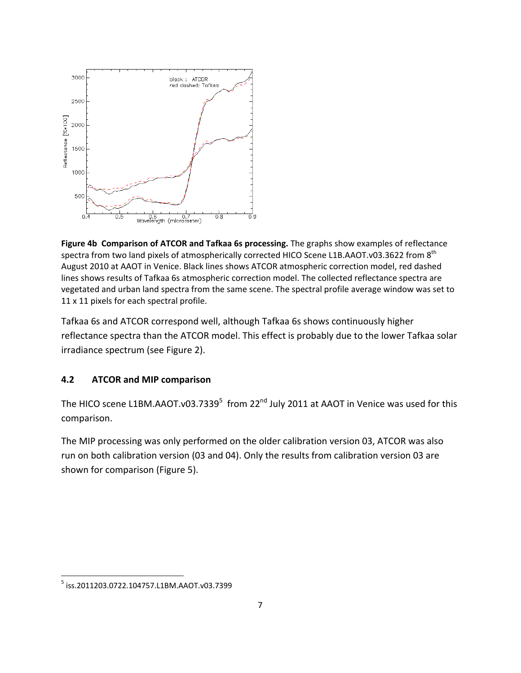

**Figure 4b Comparison of ATCOR and Tafkaa 6s processing.** The graphs show examples of reflectance spectra from two land pixels of atmospherically corrected HICO Scene L1B.AAOT.v03.3622 from 8<sup>th</sup> August 2010 at AAOT in Venice. Black lines shows ATCOR atmospheric correction model, red dashed lines shows results of Tafkaa 6s atmospheric correction model. The collected reflectance spectra are vegetated and urban land spectra from the same scene. The spectral profile average window was set to 11 x 11 pixels for each spectral profile.

Tafkaa 6s and ATCOR correspond well, although Tafkaa 6s shows continuously higher reflectance spectra than the ATCOR model. This effect is probably due to the lower Tafkaa solar irradiance spectrum (see Figure 2).

#### **4.2 ATCOR and MIP comparison**

The HICO scene L1BM.AAOT.v03.7339<sup>5</sup> from 22<sup>nd</sup> July 2011 at AAOT in Venice was used for this comparison.

The MIP processing was only performed on the older calibration version 03, ATCOR was also run on both calibration version (03 and 04). Only the results from calibration version 03 are shown for comparison (Figure 5).

 <sup>5</sup> iss.2011203.0722.104757.L1BM.AAOT.v03.7399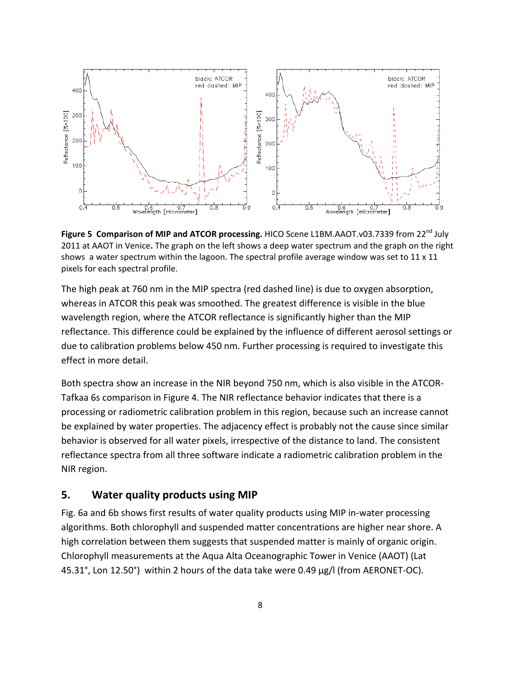

**Figure 5 Comparison of MIP and ATCOR processing.** HICO Scene L1BM.AAOT.v03.7339 from 22nd July 2011 at AAOT in Venice**.** The graph on the left shows a deep water spectrum and the graph on the right shows a water spectrum within the lagoon. The spectral profile average window was set to  $11 \times 11$ pixels for each spectral profile.

The high peak at 760 nm in the MIP spectra (red dashed line) is due to oxygen absorption, whereas in ATCOR this peak was smoothed. The greatest difference is visible in the blue wavelength region, where the ATCOR reflectance is significantly higher than the MIP reflectance. This difference could be explained by the influence of different aerosol settings or due to calibration problems below 450 nm. Further processing is required to investigate this effect in more detail.

Both spectra show an increase in the NIR beyond 750 nm, which is also visible in the ATCOR‐ Tafkaa 6s comparison in Figure 4. The NIR reflectance behavior indicates that there is a processing or radiometric calibration problem in this region, because such an increase cannot be explained by water properties. The adjacency effect is probably not the cause since similar behavior is observed for all water pixels, irrespective of the distance to land. The consistent reflectance spectra from all three software indicate a radiometric calibration problem in the NIR region.

#### **5. Water quality products using MIP**

Fig. 6a and 6b shows first results of water quality products using MIP in‐water processing algorithms. Both chlorophyll and suspended matter concentrations are higher near shore. A high correlation between them suggests that suspended matter is mainly of organic origin. Chlorophyll measurements at the Aqua Alta Oceanographic Tower in Venice (AAOT) (Lat 45.31°, Lon 12.50°) within 2 hours of the data take were 0.49 µg/l (from AERONET‐OC).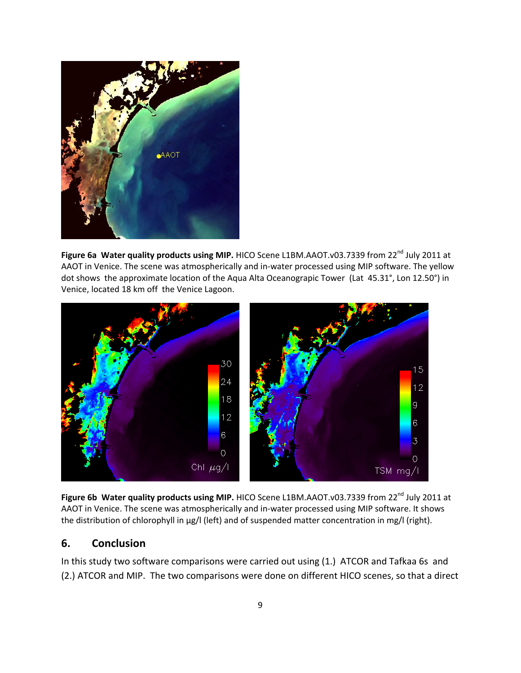

**Figure 6a Water quality products using MIP. HICO Scene L1BM.AAOT.v03.7339 from 22<sup>nd</sup> July 2011 at** AAOT in Venice. The scene was atmospherically and in‐water processed using MIP software. The yellow dot shows the approximate location of the Aqua Alta Oceanograpic Tower (Lat 45.31°, Lon 12.50°) in Venice, located 18 km off the Venice Lagoon.



**Figure 6b Water quality products using MIP.** HICO Scene L1BM.AAOT.v03.7339 from 22nd July 2011 at AAOT in Venice. The scene was atmospherically and in‐water processed using MIP software. It shows the distribution of chlorophyll in µg/l (left) and of suspended matter concentration in mg/l (right).

# **6. Conclusion**

In this study two software comparisons were carried out using (1.) ATCOR and Tafkaa 6s and (2.) ATCOR and MIP. The two comparisons were done on different HICO scenes, so that a direct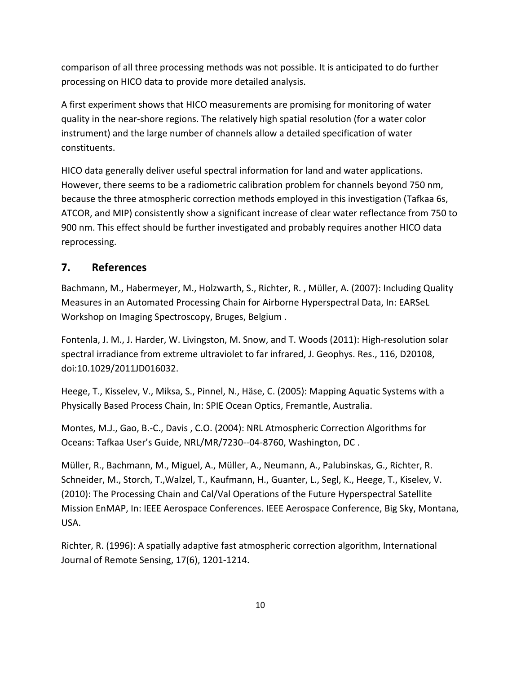comparison of all three processing methods was not possible. It is anticipated to do further processing on HICO data to provide more detailed analysis.

A first experiment shows that HICO measurements are promising for monitoring of water quality in the near‐shore regions. The relatively high spatial resolution (for a water color instrument) and the large number of channels allow a detailed specification of water constituents.

HICO data generally deliver useful spectral information for land and water applications. However, there seems to be a radiometric calibration problem for channels beyond 750 nm, because the three atmospheric correction methods employed in this investigation (Tafkaa 6s, ATCOR, and MIP) consistently show a significant increase of clear water reflectance from 750 to 900 nm. This effect should be further investigated and probably requires another HICO data reprocessing.

# **7. References**

Bachmann, M., Habermeyer, M., Holzwarth, S., Richter, R. , Müller, A. (2007): Including Quality Measures in an Automated Processing Chain for Airborne Hyperspectral Data, In: EARSeL Workshop on Imaging Spectroscopy, Bruges, Belgium .

Fontenla, J. M., J. Harder, W. Livingston, M. Snow, and T. Woods (2011): High-resolution solar spectral irradiance from extreme ultraviolet to far infrared, J. Geophys. Res., 116, D20108, doi:10.1029/2011JD016032.

Heege, T., Kisselev, V., Miksa, S., Pinnel, N., Häse, C. (2005): Mapping Aquatic Systems with a Physically Based Process Chain, In: SPIE Ocean Optics, Fremantle, Australia.

Montes, M.J., Gao, B.‐C., Davis , C.O. (2004): NRL Atmospheric Correction Algorithms for Oceans: Tafkaa User's Guide, NRL/MR/7230‐‐04‐8760, Washington, DC .

Müller, R., Bachmann, M., Miguel, A., Müller, A., Neumann, A., Palubinskas, G., Richter, R. Schneider, M., Storch, T.,Walzel, T., Kaufmann, H., Guanter, L., Segl, K., Heege, T., Kiselev, V. (2010): The Processing Chain and Cal/Val Operations of the Future Hyperspectral Satellite Mission EnMAP, In: IEEE Aerospace Conferences. IEEE Aerospace Conference, Big Sky, Montana, USA.

Richter, R. (1996): A spatially adaptive fast atmospheric correction algorithm, International Journal of Remote Sensing, 17(6), 1201‐1214.